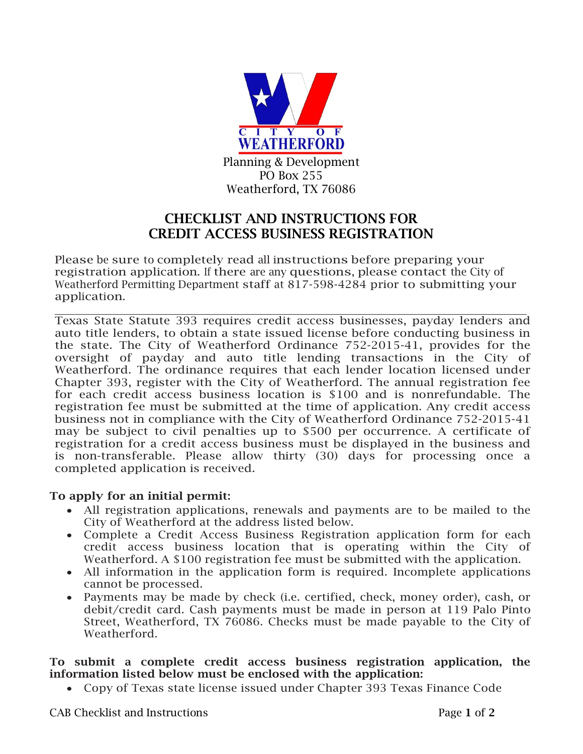

# CHECKLIST AND INSTRUCTIONS FOR CREDIT ACCESS BUSINESS REGISTRATION

Please be sure to completely read all instructions before preparing your registration application. If there are any questions, please contact the City of Weatherford Permitting Department staff at 817-598-4284 prior to submitting your application.

Texas State Statute 393 requires credit access businesses, payday lenders and auto title lenders, to obtain a state issued license before conducting business in the state. The City of Weatherford Ordinance 752-2015-41, provides for the oversight of payday and auto title lending transactions in the City of Weatherford. The ordinance requires that each lender location licensed under Chapter 393, register with the City of Weatherford. The annual registration fee for each credit access business location is \$100 and is nonrefundable. The registration fee must be submitted at the time of application. Any credit access business not in compliance with the City of Weatherford Ordinance 752-2015-41 may be subject to civil penalties up to \$500 per occurrence. A certificate of registration for a credit access business must be displayed in the business and is non-transferable. Please allow thirty (30) days for processing once a completed application is received.

# To apply for an initial permit:

- All registration applications, renewals and payments are to be mailed to the City of Weatherford at the address listed below.
- Complete a Credit Access Business Registration application form for each credit access business location that is operating within the City of Weatherford. A \$100 registration fee must be submitted with the application.
- All information in the application form is required. Incomplete applications cannot be processed.
- Payments may be made by check (i.e. certified, check, money order), cash, or debit/credit card. Cash payments must be made in person at 119 Palo Pinto Street, Weatherford, TX 76086. Checks must be made payable to the City of Weatherford.

#### To submit a complete credit access business registration application, the information listed below must be enclosed with the application:

• Copy of Texas state license issued under Chapter 393 Texas Finance Code